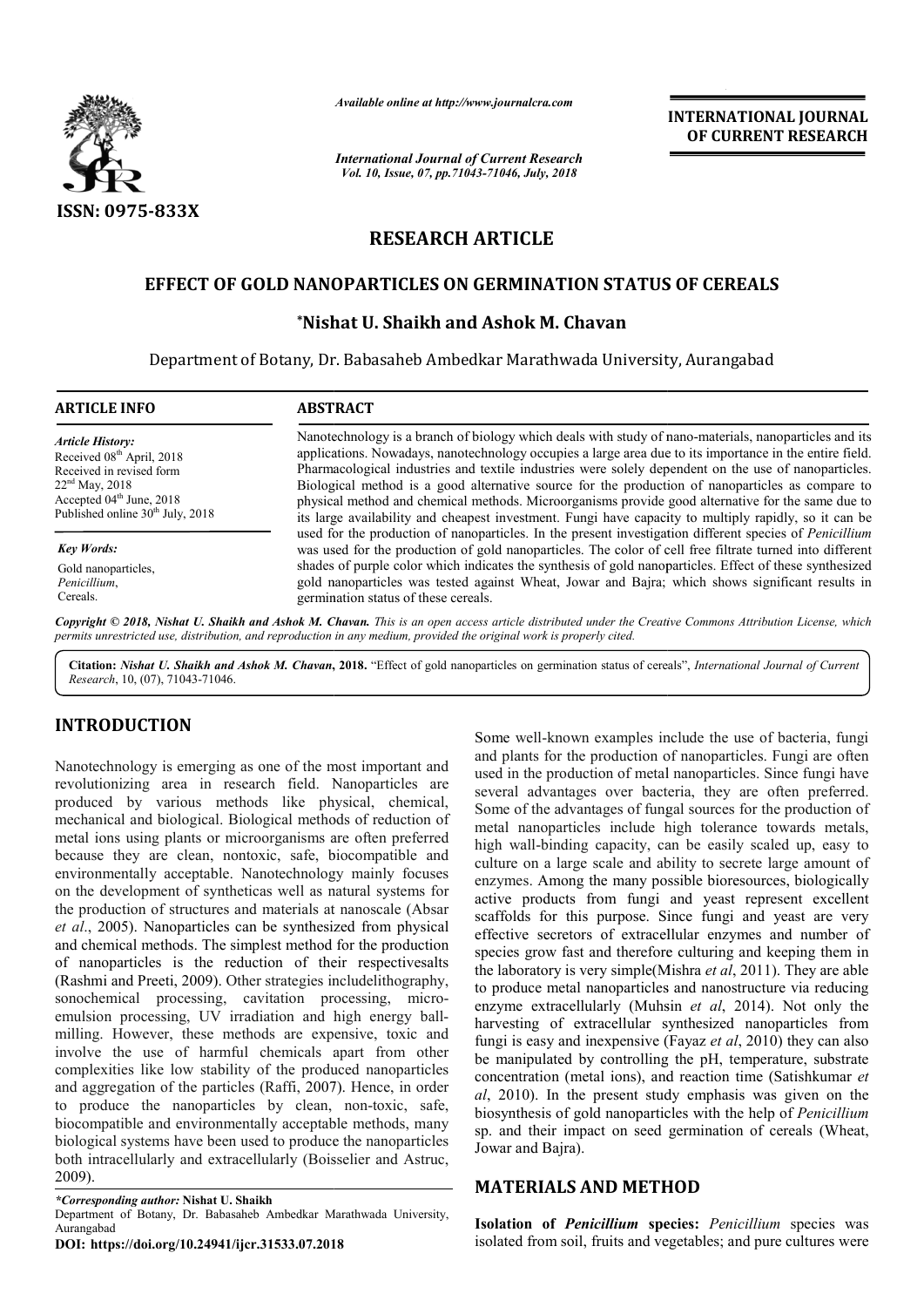

*Available online at http://www.journalcra.com*

*International Journal of Current Research Vol. 10, Issue, 07, pp.71043-71046, July, 2018*

**INTERNATIONAL JOURNAL OF CURRENT RESEARCH**

# **RESEARCH ARTICLE**

# **EFFECT OF GOLD NANOPARTICLES ON GERMINATION STATUS OF CEREALS**

# **\*Nishat U. Shaikh and Ashok M. Chavan Nishat**

Department of Botany, Dr. Babasaheb Ambedkar Marathwada University, Aurangabad

| <b>ABSTRACT</b>                                                                                                                                                                                                                                                                                                                                                                                                                                                                                                                                                                                                                            |  |  |  |  |
|--------------------------------------------------------------------------------------------------------------------------------------------------------------------------------------------------------------------------------------------------------------------------------------------------------------------------------------------------------------------------------------------------------------------------------------------------------------------------------------------------------------------------------------------------------------------------------------------------------------------------------------------|--|--|--|--|
| Nanotechnology is a branch of biology which deals with study of nano-materials, nanoparticles and its<br>applications. Nowadays, nanotechnology occupies a large area due to its importance in the entire field.<br>Pharmacological industries and textile industries were solely dependent on the use of nanoparticles.<br>Biological method is a good alternative source for the production of nanoparticles as compare to<br>physical method and chemical methods. Microorganisms provide good alternative for the same due to<br>its large availability and cheapest investment. Fungi have capacity to multiply rapidly, so it can be |  |  |  |  |
| used for the production of nanoparticles. In the present investigation different species of <i>Penicillium</i><br>was used for the production of gold nanoparticles. The color of cell free filtrate turned into different                                                                                                                                                                                                                                                                                                                                                                                                                 |  |  |  |  |
| shades of purple color which indicates the synthesis of gold nanoparticles. Effect of these synthesized<br>gold nanoparticles was tested against Wheat, Jowar and Bajra; which shows significant results in<br>germination status of these cereals.                                                                                                                                                                                                                                                                                                                                                                                        |  |  |  |  |
|                                                                                                                                                                                                                                                                                                                                                                                                                                                                                                                                                                                                                                            |  |  |  |  |

Copyright © 2018, Nishat U. Shaikh and Ashok M. Chavan. This is an open access article distributed under the Creative Commons Attribution License, which permits unrestricted use, distribution, and reproduction in any medium, provided the original work is properly cited.

Citation: Nishat U. Shaikh and Ashok M. Chavan, 2018. "Effect of gold nanoparticles on germination status of cereals", International Journal of Current *Research*, 10, (07), 71043-71046.

# **INTRODUCTION**

Nanotechnology is emerging as one of the most important and revolutionizing area in research field. Nanoparticles are produced by various methods like physical, chemical, mechanical and biological. Biological methods of reduction of metal ions using plants or microorganisms are often preferred because they are clean, nontoxic, safe, biocompatible and environmentally acceptable. Nanotechnology mainly focuses on the development of syntheticas well as natural systems for the production of structures and materials at nanoscale (Absar *et al*., 2005). Nanoparticles can be synthesized from physical and chemical methods. The simplest method for the production of nanoparticles is the reduction of their respectivesalts (Rashmi and Preeti, 2009). Other strategies includelithography, sonochemical processing, cavitation processing, microemulsion processing, UV irradiation and high energy ballmilling. However, these methods are expensive, toxic and involve the use of harmful chemicals apart from other complexities like low stability of the produced nanoparticles and aggregation of the particles (Raffi, 2007). Hence, in order to produce the nanoparticles by clean, non-toxic, safe, biocompatible and environmentally acceptable methods, many biological systems have been used to produce the nanoparticles both intracellularly and extracellularly (Boisselier and Astruc, 2009).

*\*Corresponding author:* **Nishat U. Shaikh** 

Department of Botany, Dr. Babasaheb Ambedkar Marathwada University, Aurangabad

**DOI: https://doi.org/10.24941/ijcr.31533.07.2018**

Some well-known examples include the use of bacteria, fungi<br>include the production of manoparticles. Fungi are ofter<br>leld. Nanoparticles are used in the production of mendanticles. Since fungi have<br>ce physical, chemical, s Some well-known examples include the use of bacteria, fungi and plants for the production of nanoparticles. Fungi are often used in the production of metal nanoparticles. Since fungi have several advantages over bacteria, they are often preferred. Some of the advantages of fungal sources for the production of metal nanoparticles include high tolerance towards metals, high wall-binding capacity, can be easily scaled up, easy to culture on a large scale and ability to secrete large amount of enzymes. Among the many possible bioresources, biologically active products from fungi and yeast represent excellent scaffolds for this purpose. Since fungi and yeast are very effective secretors of extracellular enzymes and number of species grow fast and therefore culturing and keeping them in the laboratory is very simple (Mishra *et al*, 2011). They are able to produce metal nanoparticles and nanostructure via reducing to produce metal nanoparticles and nanostructure via reducing<br>enzyme extracellularly (Muhsin *et al*, 2014). Not only the harvesting of extracellular synthesized nanoparticles from harvesting of extracellular synthesized nanoparticles from fungi is easy and inexpensive (Fayaz *et al*, 2010) they can also be manipulated by controlling the pH, temperature, substrate concentration (metal ions), and reaction time (Satishkumar et *al*, 2010). In the present study emphasis was given on the biosynthesis of gold nanoparticles with the help of *Penicillium* sp. and their impact on seed germination of cereals (Wheat, Jowar and Bajra). over bacteria, they are often preferred.<br>ges of fungal sources for the production of<br>include high tolerance towards metals, is. Among the many possible bioresources, biologically products from fungi and yeast represent excellent ls for this purpose. Since fungi and yeast are very e secretors of extracellular enzymes and number of grow fast and INTERNATIONAL JOURNAL<br> **ENTERNATIONAL JOURNAL**<br> **ENTERNATION OF CURRENT RESEARCH<br>** *ENTERNATION* **STATUS OF CEREFALS<br>
LE<br>
LE<br>
LE<br>
MATION STATUS OF CEREFALS<br>
N. Chavan<br>
rathwada University, Aurangabad<br>
wideo distance in the** 

## **MATERIALS AND METHOD**

**Isolation of Penicillium species:** Penicillium species was isolated from soil, fruits and vegetables; and pure cultures were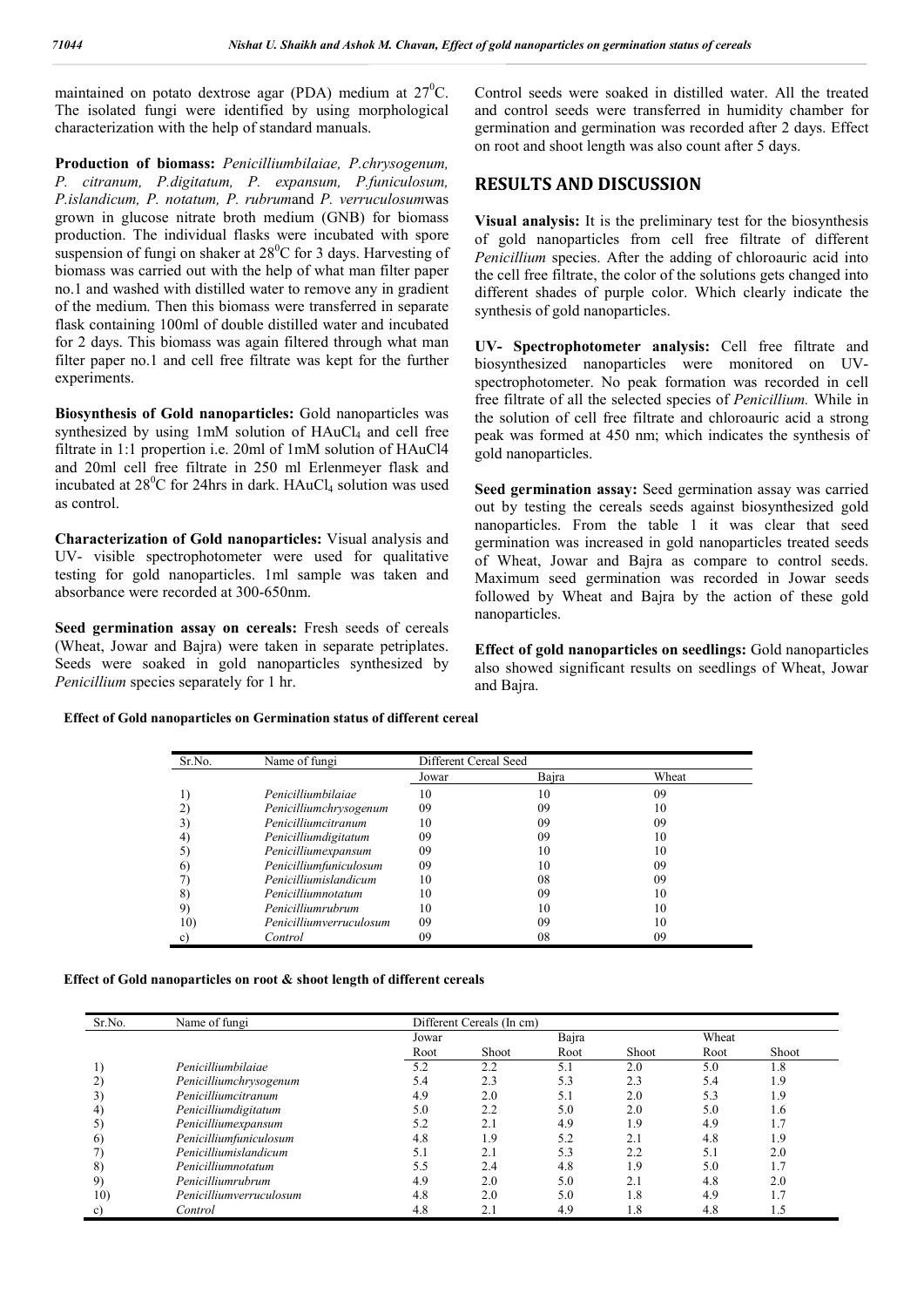maintained on potato dextrose agar (PDA) medium at  $27^{\circ}$ C. The isolated fungi were identified by using morphological characterization with the help of standard manuals.

**Production of biomass:** *Penicilliumbilaiae, P.chrysogenum, P. citranum, P.digitatum, P. expansum, P.funiculosum, P.islandicum, P. notatum, P. rubrum*and *P. verruculosum*was grown in glucose nitrate broth medium (GNB) for biomass production. The individual flasks were incubated with spore suspension of fungi on shaker at  $28^{\circ}$ C for 3 days. Harvesting of biomass was carried out with the help of what man filter paper no.1 and washed with distilled water to remove any in gradient of the medium. Then this biomass were transferred in separate flask containing 100ml of double distilled water and incubated for 2 days. This biomass was again filtered through what man filter paper no.1 and cell free filtrate was kept for the further experiments.

**Biosynthesis of Gold nanoparticles:** Gold nanoparticles was synthesized by using  $1mM$  solution of  $HAuCl<sub>4</sub>$  and cell free filtrate in 1:1 propertion i.e. 20ml of 1mM solution of HAuCl4 and 20ml cell free filtrate in 250 ml Erlenmeyer flask and incubated at  $28^{\circ}$ C for 24hrs in dark. HAuCl<sub>4</sub> solution was used as control.

**Characterization of Gold nanoparticles:** Visual analysis and UV- visible spectrophotometer were used for qualitative testing for gold nanoparticles. 1ml sample was taken and absorbance were recorded at 300-650nm.

**Seed germination assay on cereals:** Fresh seeds of cereals (Wheat, Jowar and Bajra) were taken in separate petriplates. Seeds were soaked in gold nanoparticles synthesized by *Penicillium* species separately for 1 hr.

Control seeds were soaked in distilled water. All the treated and control seeds were transferred in humidity chamber for germination and germination was recorded after 2 days. Effect on root and shoot length was also count after 5 days.

## **RESULTS AND DISCUSSION**

**Visual analysis:** It is the preliminary test for the biosynthesis of gold nanoparticles from cell free filtrate of different *Penicillium* species. After the adding of chloroauric acid into the cell free filtrate, the color of the solutions gets changed into different shades of purple color. Which clearly indicate the synthesis of gold nanoparticles.

**UV- Spectrophotometer analysis:** Cell free filtrate and biosynthesized nanoparticles were monitored on UVspectrophotometer. No peak formation was recorded in cell free filtrate of all the selected species of *Penicillium.* While in the solution of cell free filtrate and chloroauric acid a strong peak was formed at 450 nm; which indicates the synthesis of gold nanoparticles.

**Seed germination assay:** Seed germination assay was carried out by testing the cereals seeds against biosynthesized gold nanoparticles. From the table 1 it was clear that seed germination was increased in gold nanoparticles treated seeds of Wheat, Jowar and Bajra as compare to control seeds. Maximum seed germination was recorded in Jowar seeds followed by Wheat and Bajra by the action of these gold nanoparticles.

**Effect of gold nanoparticles on seedlings:** Gold nanoparticles also showed significant results on seedlings of Wheat, Jowar and Bajra.

#### **Effect of Gold nanoparticles on Germination status of different cereal**

| Sr.No.   | Name of fungi           | Different Cereal Seed |       |       |  |  |
|----------|-------------------------|-----------------------|-------|-------|--|--|
|          |                         | Jowar                 | Bajra | Wheat |  |  |
|          | Penicilliumbilaiae      | 10                    | 10    | 09    |  |  |
|          | Penicilliumchrysogenum  | 09                    | 09    | 10    |  |  |
|          | Penicilliumcitranum     | 10                    | 09    | 09    |  |  |
|          | Penicilliumdigitatum    | 09                    | 09    | 10    |  |  |
| 5)       | Penicilliumexpansum     | 09                    | 10    | 10    |  |  |
| $\omega$ | Penicilliumfuniculosum  | 09                    | 10    | 09    |  |  |
|          | Penicilliumislandicum   | 10                    | 08    | 09    |  |  |
| 81       | Penicilliumnotatum      | 10                    | 09    |       |  |  |
| 9)       | Penicilliumrubrum       | 10                    | 10    | 10    |  |  |
| 10)      | Penicilliumverruculosum | 09                    | 09    | 10    |  |  |
| C)       | Control                 | 09                    | 08    | 09    |  |  |

**Effect of Gold nanoparticles on root & shoot length of different cereals**

| Sr.No. | Name of fungi           |       | Different Cereals (In cm) |       |       |       |              |  |  |  |
|--------|-------------------------|-------|---------------------------|-------|-------|-------|--------------|--|--|--|
|        |                         | Jowar |                           | Bajra |       | Wheat |              |  |  |  |
|        |                         | Root  | <b>Shoot</b>              | Root  | Shoot | Root  | <b>Shoot</b> |  |  |  |
|        | Penicilliumbilaiae      | 5.2   | 2.2                       | 5.1   | 2.0   | 5.0   | 1.8          |  |  |  |
| 2)     | Penicilliumchrysogenum  | 5.4   | 2.3                       | 5.3   | 2.3   | 5.4   | 1.9          |  |  |  |
| 3)     | Penicilliumcitranum     | 4.9   | 2.0                       | 5.1   | 2.0   | 5.3   | 1.9          |  |  |  |
| 4)     | Penicilliumdigitatum    | 5.0   | 2.2                       | 5.0   | 2.0   | 5.0   | 1.6          |  |  |  |
| 5)     | Penicilliumexpansum     | 5.2   | 2.1                       | 4.9   | 1.9   | 4.9   | -<br>1. .    |  |  |  |
| 6)     | Penicilliumfuniculosum  | 4.8   | 1.9                       | 5.2   | 2.1   | 4.8   | 1.9          |  |  |  |
|        | Penicilliumislandicum   | 5.1   | 2.1                       | 5.3   | 2.2   | 5.1   | 2.0          |  |  |  |
| 8)     | Penicilliumnotatum      | 5.5   | 2.4                       | 4.8   | 1.9   | 5.0   | -7<br>1.,    |  |  |  |
| 9)     | Penicilliumrubrum       | 4.9   | 2.0                       | 5.0   | 2.1   | 4.8   | 2.0          |  |  |  |
| 10)    | Penicilliumverruculosum | 4.8   | 2.0                       | 5.0   | 1.8   | 4.9   | 1.,          |  |  |  |
| C)     | Control                 | 4.8   | 2.1                       | 4.9   | 1.8   | 4.8   | 1.5          |  |  |  |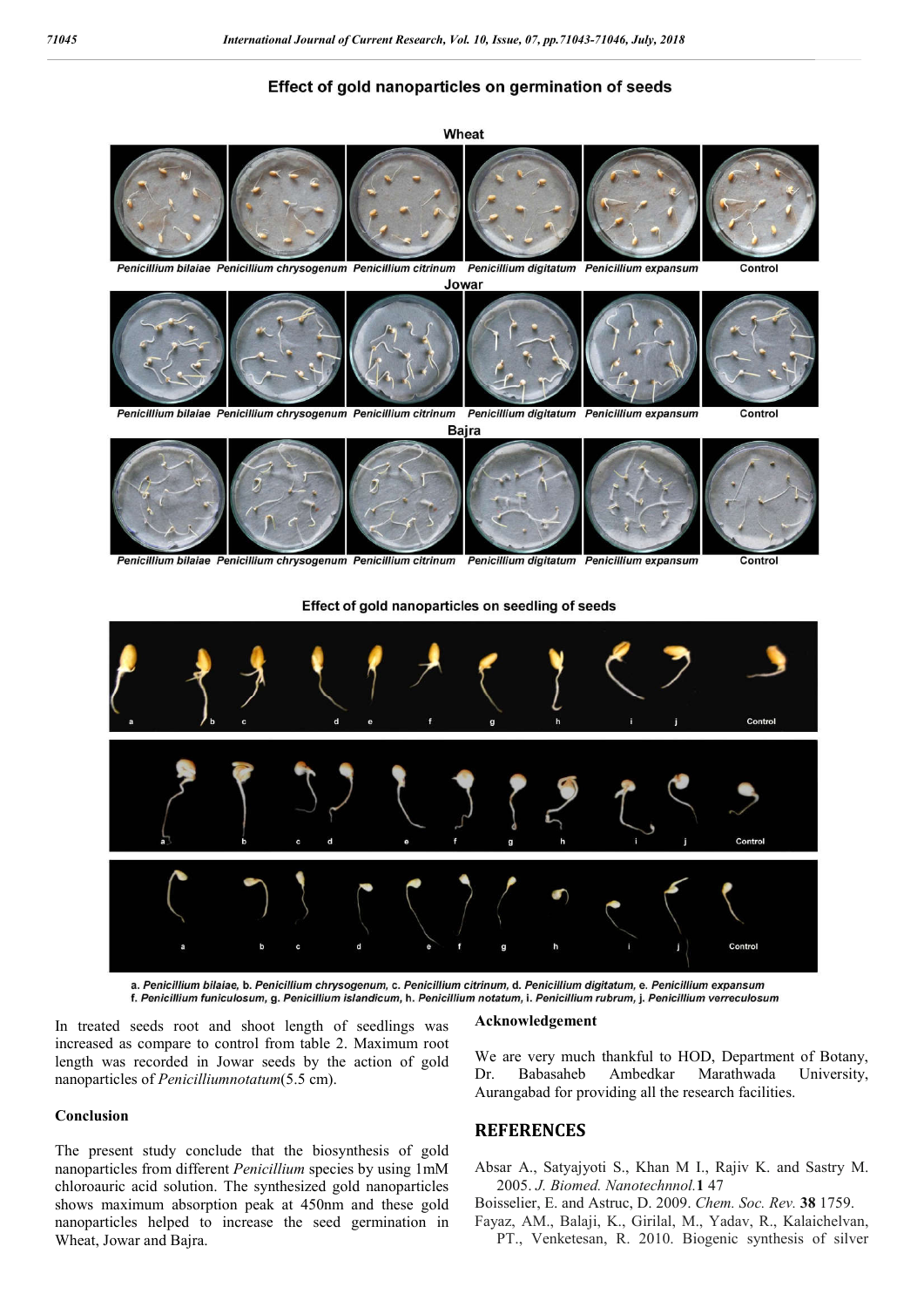## Effect of gold nanoparticles on germination of seeds



Penicillium expansum Penicillium bilaiae Penicillium chrysogenum Penicillium citrinum Penicillium digitatum

Contro





a. Penicillium bilaiae, b. Penicillium chrysogenum, c. Penicillium citrinum, d. Penicillium digitatum, e. Penicillium expansum f. Penicillium funiculosum, g. Penicillium islandicum, h. Penicillium notatum, i. Penicillium rubrum, j. Penicillium verreculosum

In treated seeds root and shoot length of seedlings was increased as compare to control from table 2. Maximum root length was recorded in Jowar seeds by the action of gold nanoparticles of *Penicilliumnotatum*(5.5 cm).

### **Conclusion**

The present study conclude that the biosynthesis of gold nanoparticles from different *Penicillium* species by using 1mM chloroauric acid solution. The synthesized gold nanoparticles shows maximum absorption peak at 450nm and these gold nanoparticles helped to increase the seed germination in Wheat, Jowar and Bajra.

#### **Acknowledgement**

We are very much thankful to HOD, Department of Botany, Dr. Babasaheb Ambedkar Marathwada University, Aurangabad for providing all the research facilities.

### **REFERENCES**

Absar A., Satyajyoti S., Khan M I., Rajiv K. and Sastry M. 2005. *J. Biomed. Nanotechnnol.***1** 47

- Boisselier, E. and Astruc, D. 2009. *Chem. Soc. Rev.* **38** 1759.
- Fayaz, AM., Balaji, K., Girilal, M., Yadav, R., Kalaichelvan, PT., Venketesan, R. 2010. Biogenic synthesis of silver